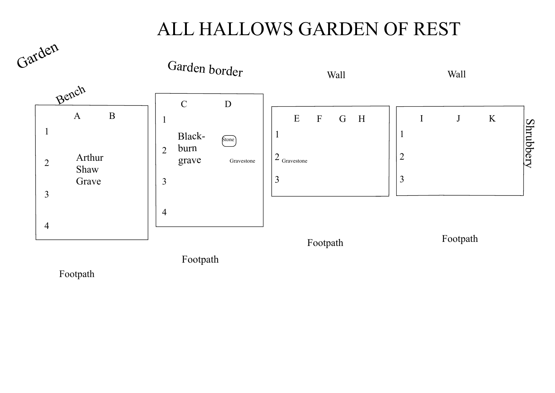Footpath





## Wall

## ALL HALLOWS GARDEN OF REST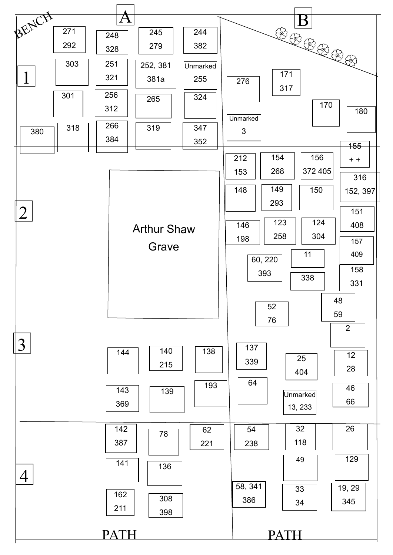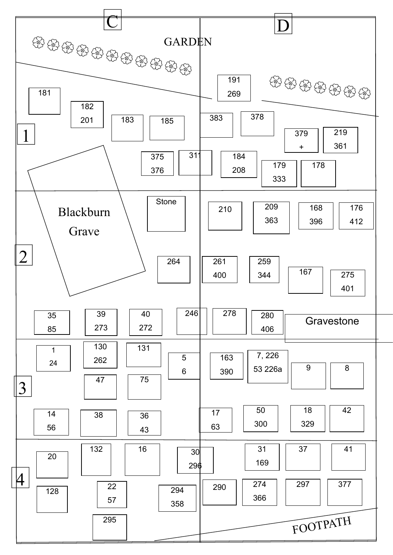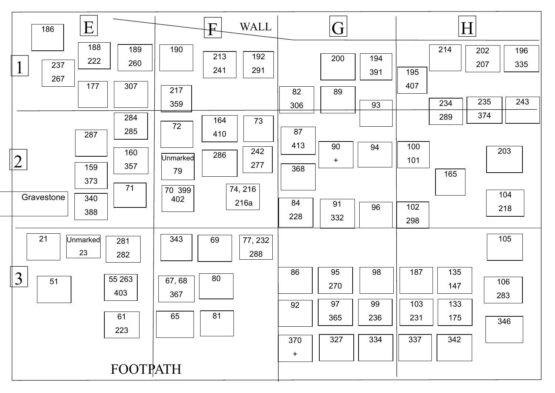